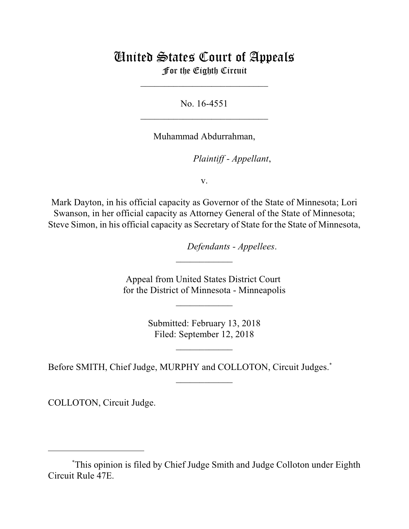## United States Court of Appeals For the Eighth Circuit

\_\_\_\_\_\_\_\_\_\_\_\_\_\_\_\_\_\_\_\_\_\_\_\_\_\_\_

No. 16-4551  $\mathcal{L}_\text{max}$  , which is a set of the set of the set of the set of the set of the set of the set of the set of the set of the set of the set of the set of the set of the set of the set of the set of the set of the set of

Muhammad Abdurrahman,

lllllllllllllllllllll*Plaintiff - Appellant*,

v.

Mark Dayton, in his official capacity as Governor of the State of Minnesota; Lori Swanson, in her official capacity as Attorney General of the State of Minnesota; Steve Simon, in his official capacity as Secretary of State for the State of Minnesota,

 $Defendants$  - *Appellees*.

Appeal from United States District Court for the District of Minnesota - Minneapolis

 $\frac{1}{2}$ 

 $\frac{1}{2}$ 

Submitted: February 13, 2018 Filed: September 12, 2018

 $\overline{\phantom{a}}$  , where  $\overline{\phantom{a}}$ 

 $\frac{1}{2}$ 

Before SMITH, Chief Judge, MURPHY and COLLOTON, Circuit Judges.<sup>\*</sup>

COLLOTON, Circuit Judge.

This opinion is filed by Chief Judge Smith and Judge Colloton under Eighth \* Circuit Rule 47E.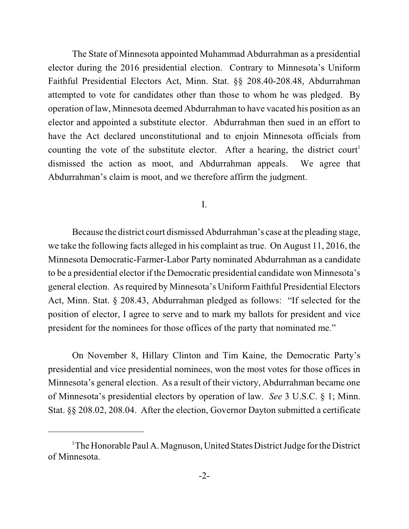The State of Minnesota appointed Muhammad Abdurrahman as a presidential elector during the 2016 presidential election. Contrary to Minnesota's Uniform Faithful Presidential Electors Act, Minn. Stat. §§ 208.40-208.48, Abdurrahman attempted to vote for candidates other than those to whom he was pledged. By operation of law, Minnesota deemed Abdurrahman to have vacated his position as an elector and appointed a substitute elector. Abdurrahman then sued in an effort to have the Act declared unconstitutional and to enjoin Minnesota officials from counting the vote of the substitute elector. After a hearing, the district court 1 dismissed the action as moot, and Abdurrahman appeals. We agree that Abdurrahman's claim is moot, and we therefore affirm the judgment.

I.

Because the district court dismissed Abdurrahman's case at the pleading stage, we take the following facts alleged in his complaint as true. On August 11, 2016, the Minnesota Democratic-Farmer-Labor Party nominated Abdurrahman as a candidate to be a presidential elector if the Democratic presidential candidate won Minnesota's general election. As required by Minnesota's Uniform Faithful Presidential Electors Act, Minn. Stat. § 208.43, Abdurrahman pledged as follows: "If selected for the position of elector, I agree to serve and to mark my ballots for president and vice president for the nominees for those offices of the party that nominated me."

On November 8, Hillary Clinton and Tim Kaine, the Democratic Party's presidential and vice presidential nominees, won the most votes for those offices in Minnesota's general election. As a result of their victory, Abdurrahman became one of Minnesota's presidential electors by operation of law. *See* 3 U.S.C. § 1; Minn. Stat. §§ 208.02, 208.04. After the election, Governor Dayton submitted a certificate

 $1$ <sup>T</sup>he Honorable Paul A. Magnuson, United States District Judge for the District of Minnesota.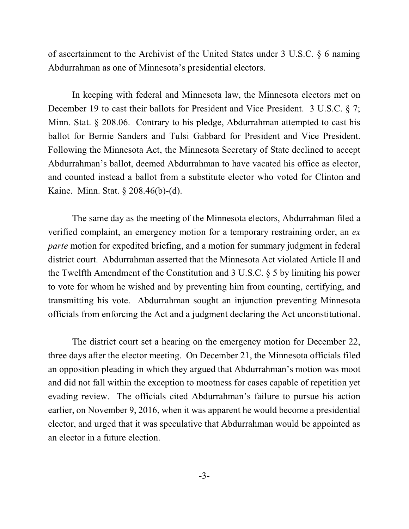of ascertainment to the Archivist of the United States under 3 U.S.C. § 6 naming Abdurrahman as one of Minnesota's presidential electors.

In keeping with federal and Minnesota law, the Minnesota electors met on December 19 to cast their ballots for President and Vice President. 3 U.S.C. § 7; Minn. Stat. § 208.06. Contrary to his pledge, Abdurrahman attempted to cast his ballot for Bernie Sanders and Tulsi Gabbard for President and Vice President. Following the Minnesota Act, the Minnesota Secretary of State declined to accept Abdurrahman's ballot, deemed Abdurrahman to have vacated his office as elector, and counted instead a ballot from a substitute elector who voted for Clinton and Kaine. Minn. Stat. § 208.46(b)-(d).

The same day as the meeting of the Minnesota electors, Abdurrahman filed a verified complaint, an emergency motion for a temporary restraining order, an *ex parte* motion for expedited briefing, and a motion for summary judgment in federal district court. Abdurrahman asserted that the Minnesota Act violated Article II and the Twelfth Amendment of the Constitution and 3 U.S.C. § 5 by limiting his power to vote for whom he wished and by preventing him from counting, certifying, and transmitting his vote. Abdurrahman sought an injunction preventing Minnesota officials from enforcing the Act and a judgment declaring the Act unconstitutional.

The district court set a hearing on the emergency motion for December 22, three days after the elector meeting. On December 21, the Minnesota officials filed an opposition pleading in which they argued that Abdurrahman's motion was moot and did not fall within the exception to mootness for cases capable of repetition yet evading review. The officials cited Abdurrahman's failure to pursue his action earlier, on November 9, 2016, when it was apparent he would become a presidential elector, and urged that it was speculative that Abdurrahman would be appointed as an elector in a future election.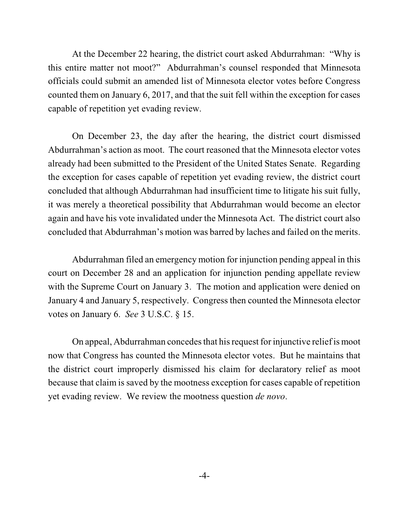At the December 22 hearing, the district court asked Abdurrahman: "Why is this entire matter not moot?" Abdurrahman's counsel responded that Minnesota officials could submit an amended list of Minnesota elector votes before Congress counted them on January 6, 2017, and that the suit fell within the exception for cases capable of repetition yet evading review.

On December 23, the day after the hearing, the district court dismissed Abdurrahman's action as moot. The court reasoned that the Minnesota elector votes already had been submitted to the President of the United States Senate. Regarding the exception for cases capable of repetition yet evading review, the district court concluded that although Abdurrahman had insufficient time to litigate his suit fully, it was merely a theoretical possibility that Abdurrahman would become an elector again and have his vote invalidated under the Minnesota Act. The district court also concluded that Abdurrahman's motion was barred by laches and failed on the merits.

Abdurrahman filed an emergency motion for injunction pending appeal in this court on December 28 and an application for injunction pending appellate review with the Supreme Court on January 3. The motion and application were denied on January 4 and January 5, respectively. Congress then counted the Minnesota elector votes on January 6. *See* 3 U.S.C. § 15.

On appeal, Abdurrahman concedes that his request for injunctive relief is moot now that Congress has counted the Minnesota elector votes. But he maintains that the district court improperly dismissed his claim for declaratory relief as moot because that claim is saved by the mootness exception for cases capable of repetition yet evading review. We review the mootness question *de novo*.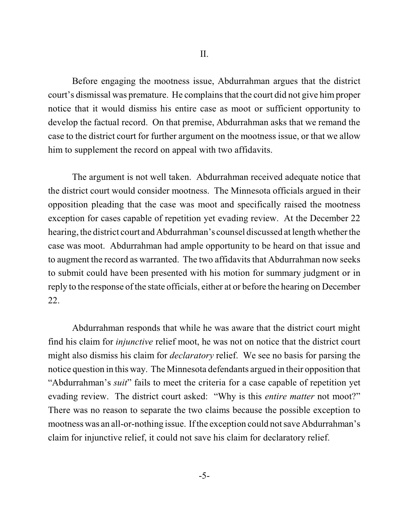Before engaging the mootness issue, Abdurrahman argues that the district court's dismissal was premature. He complainsthat the court did not give him proper notice that it would dismiss his entire case as moot or sufficient opportunity to develop the factual record. On that premise, Abdurrahman asks that we remand the case to the district court for further argument on the mootness issue, or that we allow him to supplement the record on appeal with two affidavits.

The argument is not well taken. Abdurrahman received adequate notice that the district court would consider mootness. The Minnesota officials argued in their opposition pleading that the case was moot and specifically raised the mootness exception for cases capable of repetition yet evading review. At the December 22 hearing, the district court and Abdurrahman's counsel discussed at length whether the case was moot. Abdurrahman had ample opportunity to be heard on that issue and to augment the record as warranted. The two affidavits that Abdurrahman now seeks to submit could have been presented with his motion for summary judgment or in reply to the response of the state officials, either at or before the hearing on December 22.

Abdurrahman responds that while he was aware that the district court might find his claim for *injunctive* relief moot, he was not on notice that the district court might also dismiss his claim for *declaratory* relief. We see no basis for parsing the notice question in this way. The Minnesota defendants argued in their opposition that "Abdurrahman's *suit*" fails to meet the criteria for a case capable of repetition yet evading review. The district court asked: "Why is this *entire matter* not moot?" There was no reason to separate the two claims because the possible exception to mootness was an all-or-nothing issue. If the exception could not save Abdurrahman's claim for injunctive relief, it could not save his claim for declaratory relief.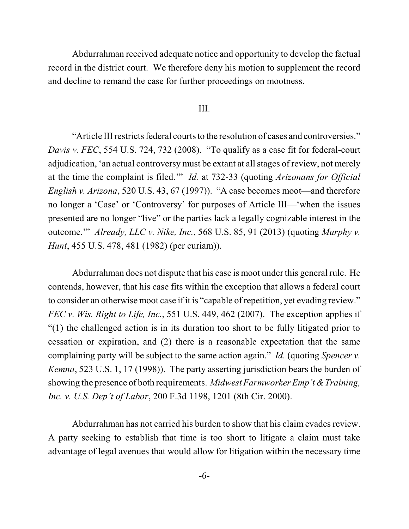Abdurrahman received adequate notice and opportunity to develop the factual record in the district court. We therefore deny his motion to supplement the record and decline to remand the case for further proceedings on mootness.

## III.

"Article III restricts federal courts to the resolution of cases and controversies." *Davis v. FEC*, 554 U.S. 724, 732 (2008). "To qualify as a case fit for federal-court adjudication, 'an actual controversy must be extant at all stages of review, not merely at the time the complaint is filed.'" *Id.* at 732-33 (quoting *Arizonans for Official English v. Arizona*, 520 U.S. 43, 67 (1997)). "A case becomes moot—and therefore no longer a 'Case' or 'Controversy' for purposes of Article III—'when the issues presented are no longer "live" or the parties lack a legally cognizable interest in the outcome.'" *Already, LLC v. Nike, Inc.*, 568 U.S. 85, 91 (2013) (quoting *Murphy v. Hunt*, 455 U.S. 478, 481 (1982) (per curiam)).

Abdurrahman does not dispute that his case is moot under this general rule. He contends, however, that his case fits within the exception that allows a federal court to consider an otherwise moot case if it is "capable of repetition, yet evading review." *FEC v. Wis. Right to Life, Inc.*, 551 U.S. 449, 462 (2007). The exception applies if "(1) the challenged action is in its duration too short to be fully litigated prior to cessation or expiration, and (2) there is a reasonable expectation that the same complaining party will be subject to the same action again." *Id.* (quoting *Spencer v. Kemna*, 523 U.S. 1, 17 (1998)). The party asserting jurisdiction bears the burden of showing the presence of both requirements. *Midwest Farmworker Emp't &Training, Inc. v. U.S. Dep't of Labor*, 200 F.3d 1198, 1201 (8th Cir. 2000).

Abdurrahman has not carried his burden to show that his claim evades review. A party seeking to establish that time is too short to litigate a claim must take advantage of legal avenues that would allow for litigation within the necessary time